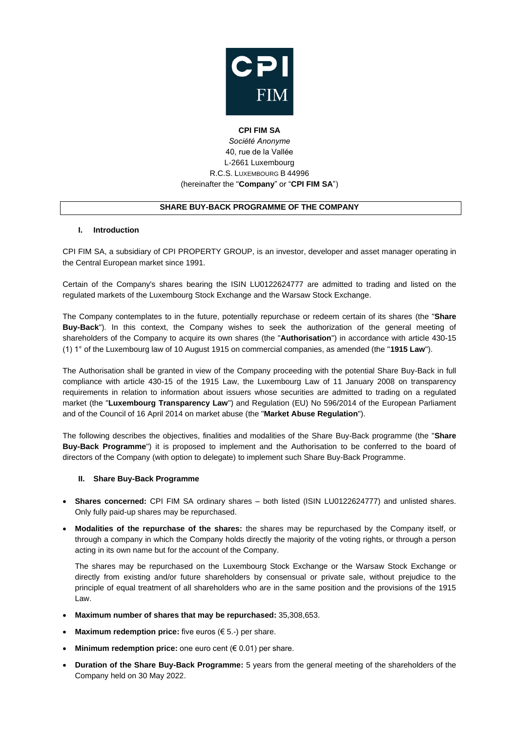

# **CPI FIM SA** *Société Anonyme* 40, rue de la Vallée L-2661 Luxembourg R.C.S. LUXEMBOURG B 44996 (hereinafter the "**Company**" or "**CPI FIM SA**")

## **SHARE BUY-BACK PROGRAMME OF THE COMPANY**

#### **I. Introduction**

CPI FIM SA, a subsidiary of CPI PROPERTY GROUP, is an investor, developer and asset manager operating in the Central European market since 1991.

Certain of the Company's shares bearing the ISIN LU0122624777 are admitted to trading and listed on the regulated markets of the Luxembourg Stock Exchange and the Warsaw Stock Exchange.

The Company contemplates to in the future, potentially repurchase or redeem certain of its shares (the "**Share Buy-Back**"). In this context, the Company wishes to seek the authorization of the general meeting of shareholders of the Company to acquire its own shares (the "**Authorisation**") in accordance with article 430-15 (1) 1° of the Luxembourg law of 10 August 1915 on commercial companies, as amended (the "**1915 Law**").

The Authorisation shall be granted in view of the Company proceeding with the potential Share Buy-Back in full compliance with article 430-15 of the 1915 Law, the Luxembourg Law of 11 January 2008 on transparency requirements in relation to information about issuers whose securities are admitted to trading on a regulated market (the "**Luxembourg Transparency Law**") and Regulation (EU) No 596/2014 of the European Parliament and of the Council of 16 April 2014 on market abuse (the "**Market Abuse Regulation**").

The following describes the objectives, finalities and modalities of the Share Buy-Back programme (the "**Share Buy-Back Programme**") it is proposed to implement and the Authorisation to be conferred to the board of directors of the Company (with option to delegate) to implement such Share Buy-Back Programme.

## **II. Share Buy-Back Programme**

- **Shares concerned:** CPI FIM SA ordinary shares both listed (ISIN LU0122624777) and unlisted shares. Only fully paid-up shares may be repurchased.
- **Modalities of the repurchase of the shares:** the shares may be repurchased by the Company itself, or through a company in which the Company holds directly the majority of the voting rights, or through a person acting in its own name but for the account of the Company.

The shares may be repurchased on the Luxembourg Stock Exchange or the Warsaw Stock Exchange or directly from existing and/or future shareholders by consensual or private sale, without prejudice to the principle of equal treatment of all shareholders who are in the same position and the provisions of the 1915 Law.

- **Maximum number of shares that may be repurchased:** 35,308,653.
- **Maximum redemption price:** five euros (€ 5.-) per share.
- **Minimum redemption price:** one euro cent (€ 0.01) per share.
- **Duration of the Share Buy-Back Programme:** 5 years from the general meeting of the shareholders of the Company held on 30 May 2022.